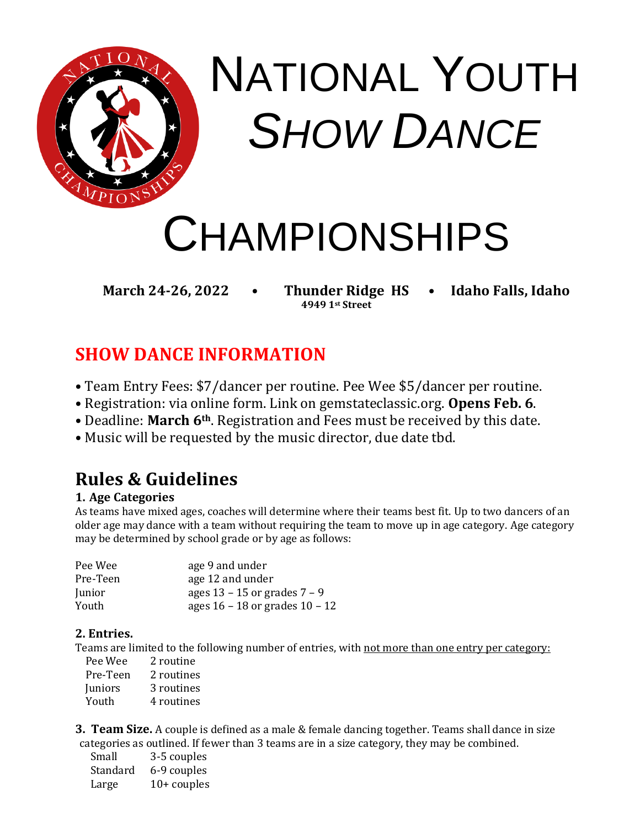

# NATIONAL YOUTH *SHOW DANCE*

## CHAMPIONSHIPS

**March 24-26, 2022 • Thunder Ridge HS • Idaho Falls, Idaho**

**4949 1st Street**

## **SHOW DANCE INFORMATION**

- Team Entry Fees: \$7/dancer per routine. Pee Wee \$5/dancer per routine.
- Registration: via online form. Link on gemstateclassic.org. **Opens Feb. 6**.
- Deadline: **March 6th**. Registration and Fees must be received by this date.
- Music will be requested by the music director, due date tbd.

### **Rules & Guidelines**

#### **1. Age Categories**

As teams have mixed ages, coaches will determine where their teams best fit. Up to two dancers of an older age may dance with a team without requiring the team to move up in age category. Age category may be determined by school grade or by age as follows:

| Pee Wee  | age 9 and under                    |
|----------|------------------------------------|
| Pre-Teen | age 12 and under                   |
| Junior   | ages $13 - 15$ or grades $7 - 9$   |
| Youth    | ages $16 - 18$ or grades $10 - 12$ |

#### **2. Entries.**

Teams are limited to the following number of entries, with not more than one entry per category:

| Pee Wee  | 2 routine  |
|----------|------------|
| Pre-Teen | 2 routines |
| Juniors  | 3 routines |
| Youth    | 4 routines |

**3. Team Size.** A couple is defined as a male & female dancing together. Teams shall dance in size categories as outlined. If fewer than 3 teams are in a size category, they may be combined.

| Small    | 3-5 couples   |
|----------|---------------|
| Standard | 6-9 couples   |
| Large    | $10+$ couples |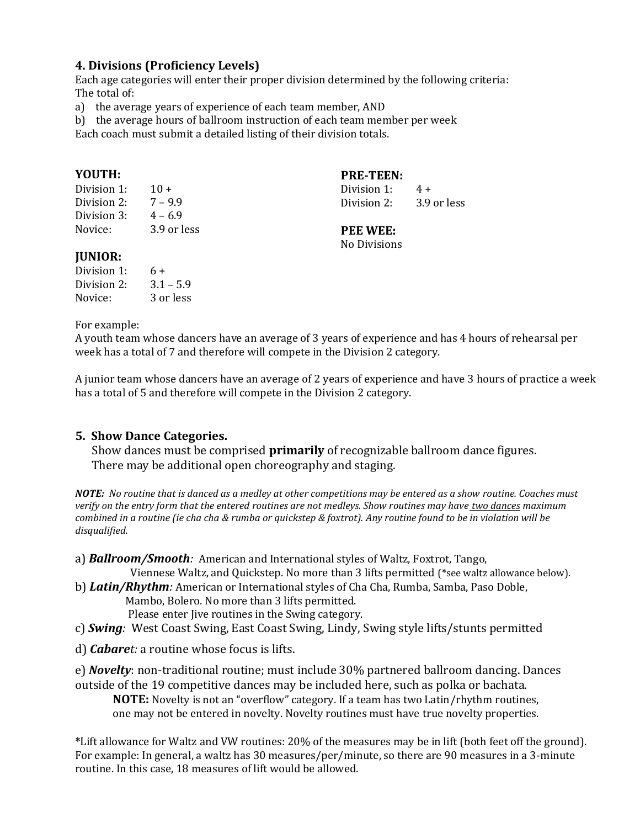#### **4. Divisions (Proficiency Levels)**

Each age categories will enter their proper division determined by the following criteria: The total of:

a) the average years of experience of each team member, AND

b) the average hours of ballroom instruction of each team member per week

Each coach must submit a detailed listing of their division totals.

#### **YOUTH:**

Division 1:  $10 +$ Division 2:  $7 - 9.9$ Division 3:  $4 - 6.9$ Novice: 3.9 or less **PRE-TEEN:** 

Division 1:  $4 +$ Division 2: 3.9 or less

#### **PEE WEE:**

No Divisions

#### **JUNIOR:**

| Division 1: | 6+          |
|-------------|-------------|
| Division 2: | $3.1 - 5.9$ |
| Novice:     | 3 or less   |

#### For example:

A youth team whose dancers have an average of 3 years of experience and has 4 hours of rehearsal per week has a total of 7 and therefore will compete in the Division 2 category.

A junior team whose dancers have an average of 2 years of experience and have 3 hours of practice a week has a total of 5 and therefore will compete in the Division 2 category.

#### **5. Show Dance Categories.**

Show dances must be comprised **primarily** of recognizable ballroom dance figures. There may be additional open choreography and staging.

*NOTE: No routine that is danced as a medley at other competitions may be entered as a show routine. Coaches must verify on the entry form that the entered routines are not medleys. Show routines may have two dances maximum combined in a routine (ie cha cha & rumba or quickstep & foxtrot). Any routine found to be in violation will be disqualified.*

a) *Ballroom/Smooth:* American and International styles of Waltz, Foxtrot, Tango,

Viennese Waltz, and Quickstep. No more than 3 lifts permitted (\*see waltz allowance below).

b) *Latin/Rhythm:* American or International styles of Cha Cha, Rumba, Samba, Paso Doble,

Mambo, Bolero. No more than 3 lifts permitted.

Please enter Jive routines in the Swing category.

- c) *Swing:* West Coast Swing, East Coast Swing, Lindy, Swing style lifts/stunts permitted
- d) *Cabaret:* a routine whose focus is lifts.

e) *Novelty*: non-traditional routine; must include 30% partnered ballroom dancing. Dances outside of the 19 competitive dances may be included here, such as polka or bachata.

**NOTE:** Novelty is not an "overflow" category. If a team has two Latin/rhythm routines, one may not be entered in novelty. Novelty routines must have true novelty properties.

**\***Lift allowance for Waltz and VW routines: 20% of the measures may be in lift (both feet off the ground). For example: In general, a waltz has 30 measures/per/minute, so there are 90 measures in a 3-minute routine. In this case, 18 measures of lift would be allowed.